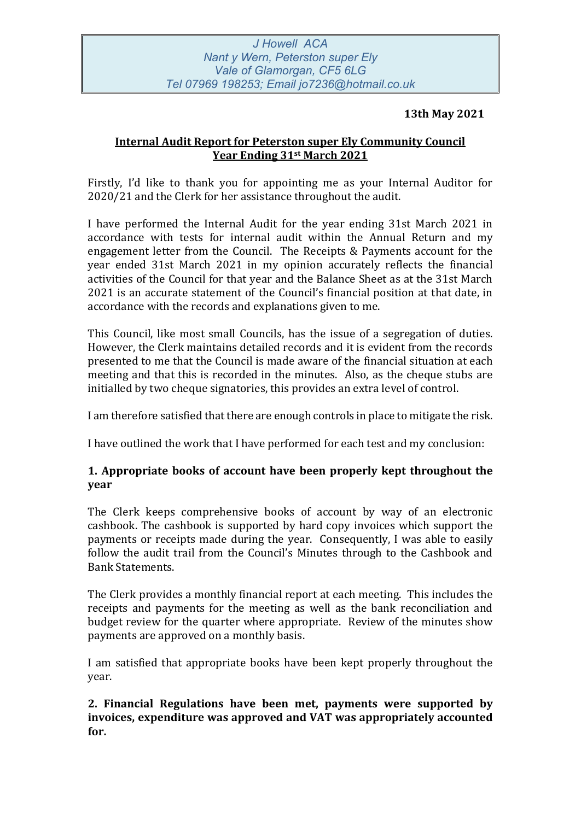# **13th May 2021**

## **Internal Audit Report for Peterston super Ely Community Council Year Ending 31st March 2021**

Firstly, I'd like to thank you for appointing me as your Internal Auditor for 2020/21 and the Clerk for her assistance throughout the audit.

I have performed the Internal Audit for the year ending 31st March 2021 in accordance with tests for internal audit within the Annual Return and my engagement letter from the Council. The Receipts & Payments account for the year ended 31st March 2021 in my opinion accurately reflects the financial activities of the Council for that year and the Balance Sheet as at the 31st March 2021 is an accurate statement of the Council's financial position at that date, in accordance with the records and explanations given to me.

This Council, like most small Councils, has the issue of a segregation of duties. However, the Clerk maintains detailed records and it is evident from the records presented to me that the Council is made aware of the financial situation at each meeting and that this is recorded in the minutes. Also, as the cheque stubs are initialled by two cheque signatories, this provides an extra level of control.

I am therefore satisfied that there are enough controls in place to mitigate the risk.

I have outlined the work that I have performed for each test and my conclusion:

### **1. Appropriate books of account have been properly kept throughout the year**

The Clerk keeps comprehensive books of account by way of an electronic cashbook. The cashbook is supported by hard copy invoices which support the payments or receipts made during the year. Consequently, I was able to easily follow the audit trail from the Council's Minutes through to the Cashbook and Bank Statements.

The Clerk provides a monthly financial report at each meeting. This includes the receipts and payments for the meeting as well as the bank reconciliation and budget review for the quarter where appropriate. Review of the minutes show payments are approved on a monthly basis.

I am satisfied that appropriate books have been kept properly throughout the year.

### **2. Financial Regulations have been met, payments were supported by invoices, expenditure was approved and VAT was appropriately accounted for.**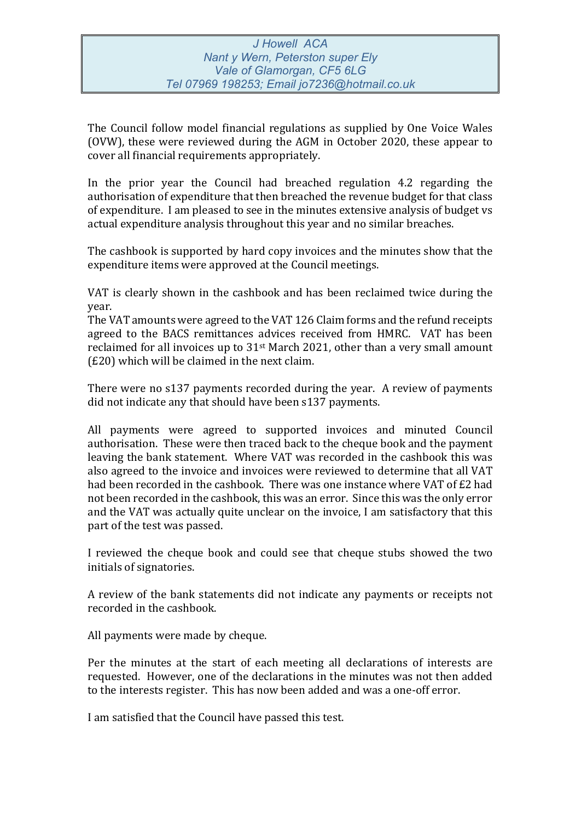The Council follow model financial regulations as supplied by One Voice Wales (OVW), these were reviewed during the AGM in October 2020, these appear to cover all financial requirements appropriately.

In the prior year the Council had breached regulation 4.2 regarding the authorisation of expenditure that then breached the revenue budget for that class of expenditure. I am pleased to see in the minutes extensive analysis of budget vs actual expenditure analysis throughout this year and no similar breaches.

The cashbook is supported by hard copy invoices and the minutes show that the expenditure items were approved at the Council meetings.

VAT is clearly shown in the cashbook and has been reclaimed twice during the year.

The VAT amounts were agreed to the VAT 126 Claim forms and the refund receipts agreed to the BACS remittances advices received from HMRC. VAT has been reclaimed for all invoices up to 31st March 2021, other than a very small amount (£20) which will be claimed in the next claim.

There were no s137 payments recorded during the year. A review of payments did not indicate any that should have been s137 payments.

All payments were agreed to supported invoices and minuted Council authorisation. These were then traced back to the cheque book and the payment leaving the bank statement. Where VAT was recorded in the cashbook this was also agreed to the invoice and invoices were reviewed to determine that all VAT had been recorded in the cashbook. There was one instance where VAT of £2 had not been recorded in the cashbook, this was an error. Since this was the only error and the VAT was actually quite unclear on the invoice, I am satisfactory that this part of the test was passed.

I reviewed the cheque book and could see that cheque stubs showed the two initials of signatories.

A review of the bank statements did not indicate any payments or receipts not recorded in the cashbook.

All payments were made by cheque.

Per the minutes at the start of each meeting all declarations of interests are requested. However, one of the declarations in the minutes was not then added to the interests register. This has now been added and was a one-off error.

I am satisfied that the Council have passed this test.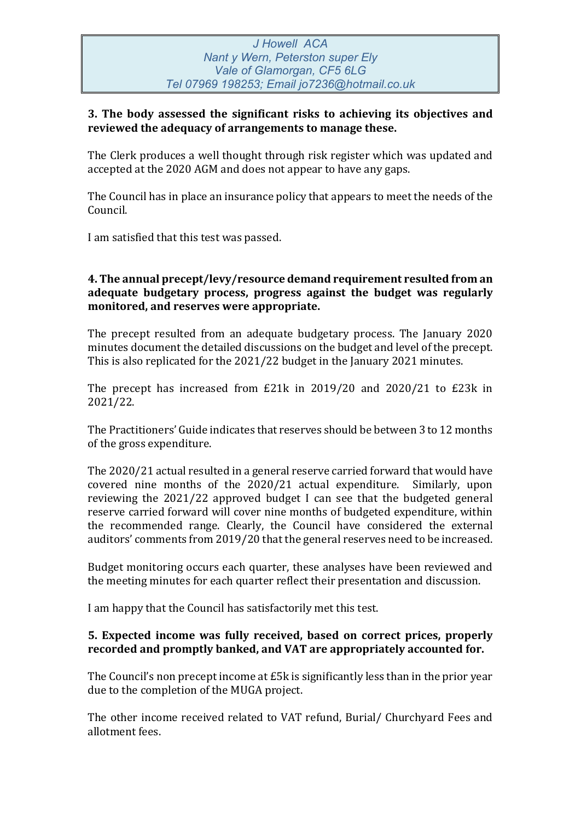*J Howell ACA Nant y Wern, Peterston super Ely Vale of Glamorgan, CF5 6LG Tel 07969 198253; Email jo7236@hotmail.co.uk*

### **3. The body assessed the significant risks to achieving its objectives and reviewed the adequacy of arrangements to manage these.**

The Clerk produces a well thought through risk register which was updated and accepted at the 2020 AGM and does not appear to have any gaps.

The Council has in place an insurance policy that appears to meet the needs of the Council.

I am satisfied that this test was passed.

### **4. The annual precept/levy/resource demand requirement resulted from an adequate budgetary process, progress against the budget was regularly monitored, and reserves were appropriate.**

The precept resulted from an adequate budgetary process. The January 2020 minutes document the detailed discussions on the budget and level of the precept. This is also replicated for the 2021/22 budget in the January 2021 minutes.

The precept has increased from £21k in 2019/20 and 2020/21 to £23k in 2021/22.

The Practitioners' Guide indicates that reserves should be between 3 to 12 months of the gross expenditure.

The 2020/21 actual resulted in a general reserve carried forward that would have covered nine months of the 2020/21 actual expenditure. Similarly, upon reviewing the 2021/22 approved budget I can see that the budgeted general reserve carried forward will cover nine months of budgeted expenditure, within the recommended range. Clearly, the Council have considered the external auditors' comments from 2019/20 that the general reserves need to be increased.

Budget monitoring occurs each quarter, these analyses have been reviewed and the meeting minutes for each quarter reflect their presentation and discussion.

I am happy that the Council has satisfactorily met this test.

### **5. Expected income was fully received, based on correct prices, properly recorded and promptly banked, and VAT are appropriately accounted for.**

The Council's non precept income at £5k is significantly less than in the prior year due to the completion of the MUGA project.

The other income received related to VAT refund, Burial/ Churchyard Fees and allotment fees.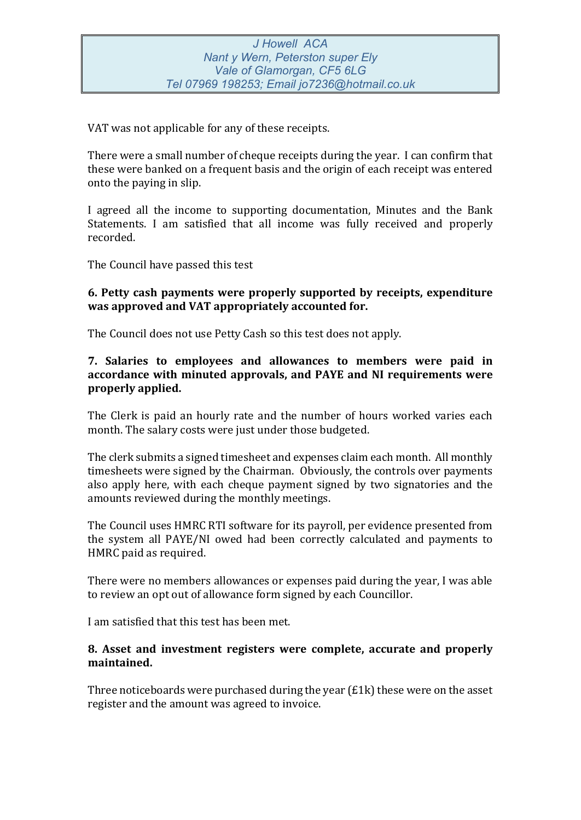VAT was not applicable for any of these receipts.

There were a small number of cheque receipts during the year. I can confirm that these were banked on a frequent basis and the origin of each receipt was entered onto the paying in slip.

I agreed all the income to supporting documentation, Minutes and the Bank Statements. I am satisfied that all income was fully received and properly recorded.

The Council have passed this test

### **6. Petty cash payments were properly supported by receipts, expenditure was approved and VAT appropriately accounted for.**

The Council does not use Petty Cash so this test does not apply.

## **7. Salaries to employees and allowances to members were paid in accordance with minuted approvals, and PAYE and NI requirements were properly applied.**

The Clerk is paid an hourly rate and the number of hours worked varies each month. The salary costs were just under those budgeted.

The clerk submits a signed timesheet and expenses claim each month. All monthly timesheets were signed by the Chairman. Obviously, the controls over payments also apply here, with each cheque payment signed by two signatories and the amounts reviewed during the monthly meetings.

The Council uses HMRC RTI software for its payroll, per evidence presented from the system all PAYE/NI owed had been correctly calculated and payments to HMRC paid as required.

There were no members allowances or expenses paid during the year, I was able to review an opt out of allowance form signed by each Councillor.

I am satisfied that this test has been met.

### **8. Asset and investment registers were complete, accurate and properly maintained.**

Three noticeboards were purchased during the year (£1k) these were on the asset register and the amount was agreed to invoice.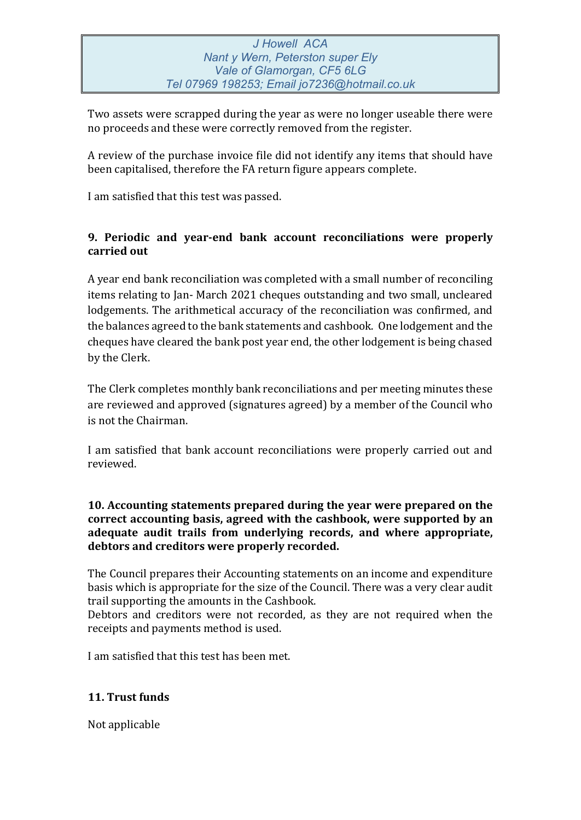*J Howell ACA Nant y Wern, Peterston super Ely Vale of Glamorgan, CF5 6LG Tel 07969 198253; Email jo7236@hotmail.co.uk*

Two assets were scrapped during the year as were no longer useable there were no proceeds and these were correctly removed from the register.

A review of the purchase invoice file did not identify any items that should have been capitalised, therefore the FA return figure appears complete.

I am satisfied that this test was passed.

### **9. Periodic and year-end bank account reconciliations were properly carried out**

A year end bank reconciliation was completed with a small number of reconciling items relating to Jan- March 2021 cheques outstanding and two small, uncleared lodgements. The arithmetical accuracy of the reconciliation was confirmed, and the balances agreed to the bank statements and cashbook. One lodgement and the cheques have cleared the bank post year end, the other lodgement is being chased by the Clerk.

The Clerk completes monthly bank reconciliations and per meeting minutes these are reviewed and approved (signatures agreed) by a member of the Council who is not the Chairman.

I am satisfied that bank account reconciliations were properly carried out and reviewed.

### **10. Accounting statements prepared during the year were prepared on the correct accounting basis, agreed with the cashbook, were supported by an adequate audit trails from underlying records, and where appropriate, debtors and creditors were properly recorded.**

The Council prepares their Accounting statements on an income and expenditure basis which is appropriate for the size of the Council. There was a very clear audit trail supporting the amounts in the Cashbook.

Debtors and creditors were not recorded, as they are not required when the receipts and payments method is used.

I am satisfied that this test has been met.

### **11. Trust funds**

Not applicable